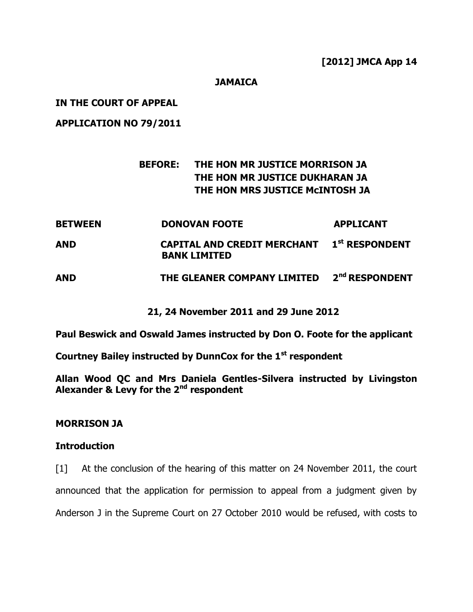#### **JAMAICA**

#### **IN THE COURT OF APPEAL**

**APPLICATION NO 79/2011**

# **BEFORE: THE HON MR JUSTICE MORRISON JA THE HON MR JUSTICE DUKHARAN JA THE HON MRS JUSTICE McINTOSH JA**

| <b>BETWEEN</b> | <b>DONOVAN FOOTE</b>                                                     | <b>APPLICANT</b>           |
|----------------|--------------------------------------------------------------------------|----------------------------|
| AND            | <b>CAPITAL AND CREDIT MERCHANT 1st RESPONDENT</b><br><b>BANK LIMITED</b> |                            |
| <b>AND</b>     | THE GLEANER COMPANY LIMITED                                              | 2 <sup>nd</sup> RESPONDENT |

### **21, 24 November 2011 and 29 June 2012**

**Paul Beswick and Oswald James instructed by Don O. Foote for the applicant**

**Courtney Bailey instructed by DunnCox for the 1st respondent**

**Allan Wood QC and Mrs Daniela Gentles-Silvera instructed by Livingston Alexander & Levy for the 2nd respondent**

#### **MORRISON JA**

#### **Introduction**

[1] At the conclusion of the hearing of this matter on 24 November 2011, the court announced that the application for permission to appeal from a judgment given by Anderson J in the Supreme Court on 27 October 2010 would be refused, with costs to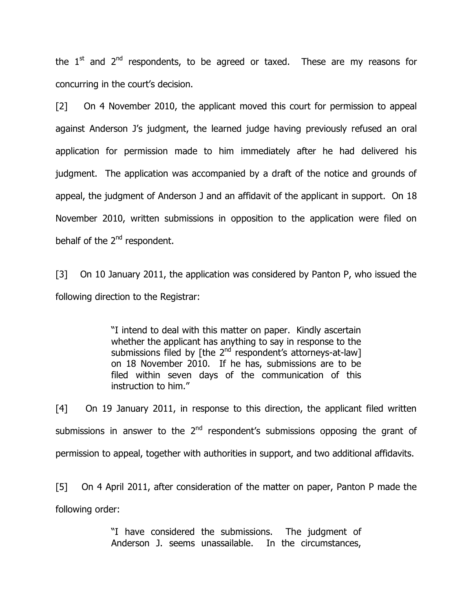the  $1<sup>st</sup>$  and  $2<sup>nd</sup>$  respondents, to be agreed or taxed. These are my reasons for concurring in the court's decision.

[2] On 4 November 2010, the applicant moved this court for permission to appeal against Anderson J's judgment, the learned judge having previously refused an oral application for permission made to him immediately after he had delivered his judgment. The application was accompanied by a draft of the notice and grounds of appeal, the judgment of Anderson J and an affidavit of the applicant in support. On 18 November 2010, written submissions in opposition to the application were filed on behalf of the 2<sup>nd</sup> respondent.

[3] On 10 January 2011, the application was considered by Panton P, who issued the following direction to the Registrar:

> "I intend to deal with this matter on paper. Kindly ascertain whether the applicant has anything to say in response to the submissions filed by [the  $2^{nd}$  respondent's attorneys-at-law] on 18 November 2010. If he has, submissions are to be filed within seven days of the communication of this instruction to him."

[4] On 19 January 2011, in response to this direction, the applicant filed written submissions in answer to the  $2<sup>nd</sup>$  respondent's submissions opposing the grant of permission to appeal, together with authorities in support, and two additional affidavits.

[5] On 4 April 2011, after consideration of the matter on paper, Panton P made the following order:

> "I have considered the submissions. The judgment of Anderson J. seems unassailable. In the circumstances,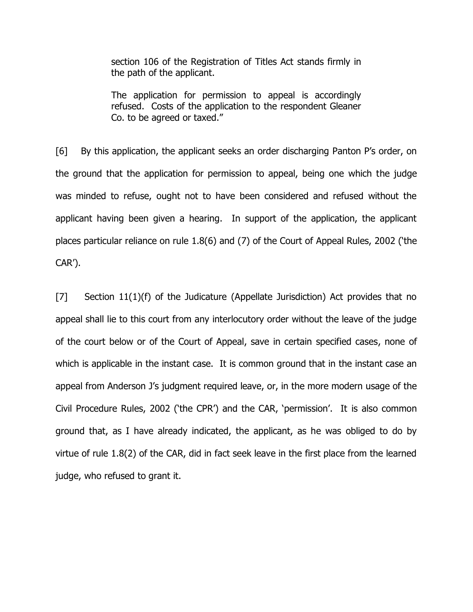section 106 of the Registration of Titles Act stands firmly in the path of the applicant.

The application for permission to appeal is accordingly refused. Costs of the application to the respondent Gleaner Co. to be agreed or taxed."

[6] By this application, the applicant seeks an order discharging Panton P's order, on the ground that the application for permission to appeal, being one which the judge was minded to refuse, ought not to have been considered and refused without the applicant having been given a hearing. In support of the application, the applicant places particular reliance on rule 1.8(6) and (7) of the Court of Appeal Rules, 2002 ('the CAR').

[7] Section 11(1)(f) of the Judicature (Appellate Jurisdiction) Act provides that no appeal shall lie to this court from any interlocutory order without the leave of the judge of the court below or of the Court of Appeal, save in certain specified cases, none of which is applicable in the instant case. It is common ground that in the instant case an appeal from Anderson J's judgment required leave, or, in the more modern usage of the Civil Procedure Rules, 2002 ('the CPR') and the CAR, 'permission'. It is also common ground that, as I have already indicated, the applicant, as he was obliged to do by virtue of rule 1.8(2) of the CAR, did in fact seek leave in the first place from the learned judge, who refused to grant it.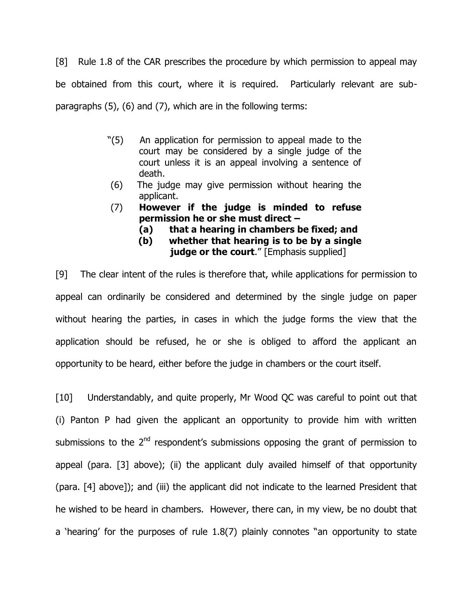[8] Rule 1.8 of the CAR prescribes the procedure by which permission to appeal may be obtained from this court, where it is required. Particularly relevant are subparagraphs (5), (6) and (7), which are in the following terms:

- "(5) An application for permission to appeal made to the court may be considered by a single judge of the court unless it is an appeal involving a sentence of death.
- (6) The judge may give permission without hearing the applicant.
- (7) **However if the judge is minded to refuse permission he or she must direct –**
	- **(a) that a hearing in chambers be fixed; and**
	- **(b) whether that hearing is to be by a single** 
		- **judge or the court**." [Emphasis supplied]

[9] The clear intent of the rules is therefore that, while applications for permission to appeal can ordinarily be considered and determined by the single judge on paper without hearing the parties, in cases in which the judge forms the view that the application should be refused, he or she is obliged to afford the applicant an opportunity to be heard, either before the judge in chambers or the court itself.

[10] Understandably, and quite properly, Mr Wood QC was careful to point out that (i) Panton P had given the applicant an opportunity to provide him with written submissions to the  $2<sup>nd</sup>$  respondent's submissions opposing the grant of permission to appeal (para. [3] above); (ii) the applicant duly availed himself of that opportunity (para. [4] above]); and (iii) the applicant did not indicate to the learned President that he wished to be heard in chambers. However, there can, in my view, be no doubt that a 'hearing' for the purposes of rule 1.8(7) plainly connotes "an opportunity to state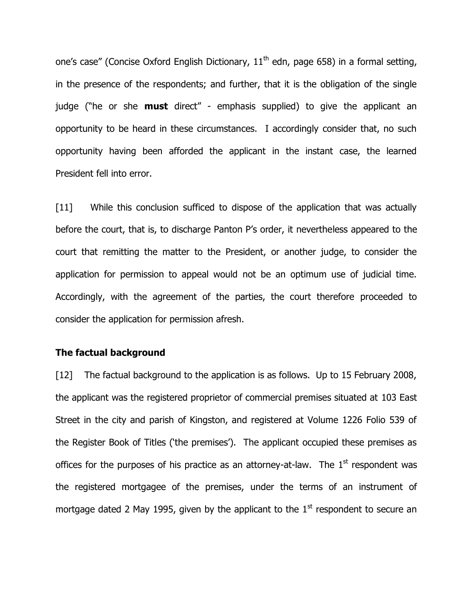one's case" (Concise Oxford English Dictionary,  $11<sup>th</sup>$  edn, page 658) in a formal setting, in the presence of the respondents; and further, that it is the obligation of the single judge ("he or she **must** direct" - emphasis supplied) to give the applicant an opportunity to be heard in these circumstances. I accordingly consider that, no such opportunity having been afforded the applicant in the instant case, the learned President fell into error.

[11] While this conclusion sufficed to dispose of the application that was actually before the court, that is, to discharge Panton P's order, it nevertheless appeared to the court that remitting the matter to the President, or another judge, to consider the application for permission to appeal would not be an optimum use of judicial time. Accordingly, with the agreement of the parties, the court therefore proceeded to consider the application for permission afresh.

#### **The factual background**

[12] The factual background to the application is as follows. Up to 15 February 2008, the applicant was the registered proprietor of commercial premises situated at 103 East Street in the city and parish of Kingston, and registered at Volume 1226 Folio 539 of the Register Book of Titles ('the premises'). The applicant occupied these premises as offices for the purposes of his practice as an attorney-at-law. The  $1<sup>st</sup>$  respondent was the registered mortgagee of the premises, under the terms of an instrument of mortgage dated 2 May 1995, given by the applicant to the  $1<sup>st</sup>$  respondent to secure an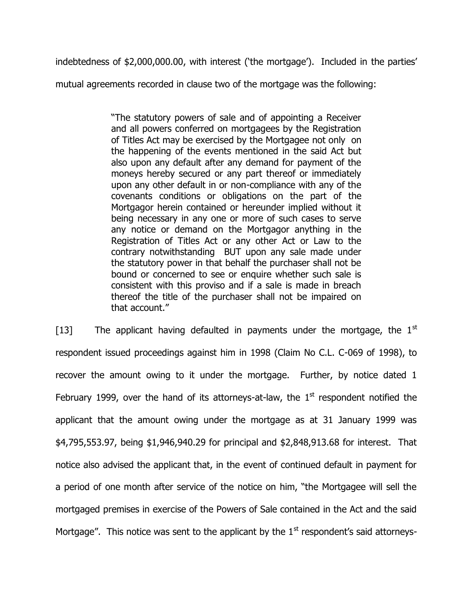indebtedness of \$2,000,000.00, with interest ('the mortgage'). Included in the parties'

mutual agreements recorded in clause two of the mortgage was the following:

"The statutory powers of sale and of appointing a Receiver and all powers conferred on mortgagees by the Registration of Titles Act may be exercised by the Mortgagee not only on the happening of the events mentioned in the said Act but also upon any default after any demand for payment of the moneys hereby secured or any part thereof or immediately upon any other default in or non-compliance with any of the covenants conditions or obligations on the part of the Mortgagor herein contained or hereunder implied without it being necessary in any one or more of such cases to serve any notice or demand on the Mortgagor anything in the Registration of Titles Act or any other Act or Law to the contrary notwithstanding BUT upon any sale made under the statutory power in that behalf the purchaser shall not be bound or concerned to see or enquire whether such sale is consistent with this proviso and if a sale is made in breach thereof the title of the purchaser shall not be impaired on that account."

[13] The applicant having defaulted in payments under the mortgage, the  $1^{st}$ respondent issued proceedings against him in 1998 (Claim No C.L. C-069 of 1998), to recover the amount owing to it under the mortgage. Further, by notice dated 1 February 1999, over the hand of its attorneys-at-law, the  $1<sup>st</sup>$  respondent notified the applicant that the amount owing under the mortgage as at 31 January 1999 was \$4,795,553.97, being \$1,946,940.29 for principal and \$2,848,913.68 for interest. That notice also advised the applicant that, in the event of continued default in payment for a period of one month after service of the notice on him, "the Mortgagee will sell the mortgaged premises in exercise of the Powers of Sale contained in the Act and the said Mortgage". This notice was sent to the applicant by the  $1<sup>st</sup>$  respondent's said attorneys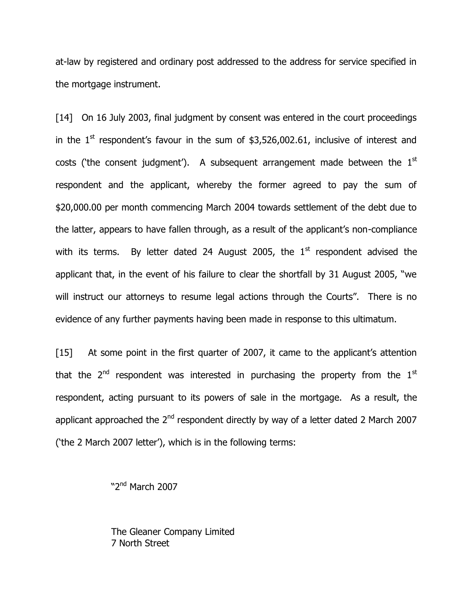at-law by registered and ordinary post addressed to the address for service specified in the mortgage instrument.

[14] On 16 July 2003, final judgment by consent was entered in the court proceedings in the  $1<sup>st</sup>$  respondent's favour in the sum of \$3,526,002.61, inclusive of interest and costs ('the consent judgment'). A subsequent arrangement made between the  $1<sup>st</sup>$ respondent and the applicant, whereby the former agreed to pay the sum of \$20,000.00 per month commencing March 2004 towards settlement of the debt due to the latter, appears to have fallen through, as a result of the applicant's non-compliance with its terms. By letter dated 24 August 2005, the  $1<sup>st</sup>$  respondent advised the applicant that, in the event of his failure to clear the shortfall by 31 August 2005, "we will instruct our attorneys to resume legal actions through the Courts". There is no evidence of any further payments having been made in response to this ultimatum.

[15] At some point in the first quarter of 2007, it came to the applicant's attention that the  $2<sup>nd</sup>$  respondent was interested in purchasing the property from the  $1<sup>st</sup>$ respondent, acting pursuant to its powers of sale in the mortgage. As a result, the applicant approached the 2<sup>nd</sup> respondent directly by way of a letter dated 2 March 2007 ('the 2 March 2007 letter'), which is in the following terms:

"2<sup>nd</sup> March 2007

The Gleaner Company Limited 7 North Street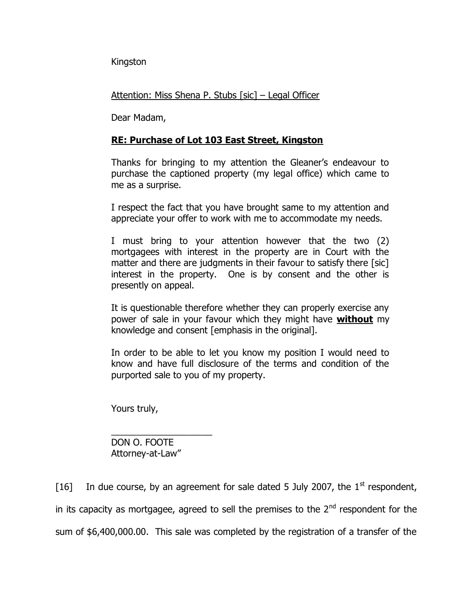Kingston

Attention: Miss Shena P. Stubs [sic] – Legal Officer

Dear Madam,

## **RE: Purchase of Lot 103 East Street, Kingston**

Thanks for bringing to my attention the Gleaner's endeavour to purchase the captioned property (my legal office) which came to me as a surprise.

I respect the fact that you have brought same to my attention and appreciate your offer to work with me to accommodate my needs.

I must bring to your attention however that the two (2) mortgagees with interest in the property are in Court with the matter and there are judgments in their favour to satisfy there [sic] interest in the property. One is by consent and the other is presently on appeal.

It is questionable therefore whether they can properly exercise any power of sale in your favour which they might have **without** my knowledge and consent [emphasis in the original].

In order to be able to let you know my position I would need to know and have full disclosure of the terms and condition of the purported sale to you of my property.

Yours truly,

DON O. FOOTE Attorney-at-Law"

 $\frac{1}{2}$  ,  $\frac{1}{2}$  ,  $\frac{1}{2}$  ,  $\frac{1}{2}$  ,  $\frac{1}{2}$  ,  $\frac{1}{2}$  ,  $\frac{1}{2}$  ,  $\frac{1}{2}$  ,  $\frac{1}{2}$  ,  $\frac{1}{2}$  ,  $\frac{1}{2}$  ,  $\frac{1}{2}$  ,  $\frac{1}{2}$  ,  $\frac{1}{2}$  ,  $\frac{1}{2}$  ,  $\frac{1}{2}$  ,  $\frac{1}{2}$  ,  $\frac{1}{2}$  ,  $\frac{1$ 

[16] In due course, by an agreement for sale dated 5 July 2007, the  $1<sup>st</sup>$  respondent, in its capacity as mortgagee, agreed to sell the premises to the  $2<sup>nd</sup>$  respondent for the sum of \$6,400,000.00. This sale was completed by the registration of a transfer of the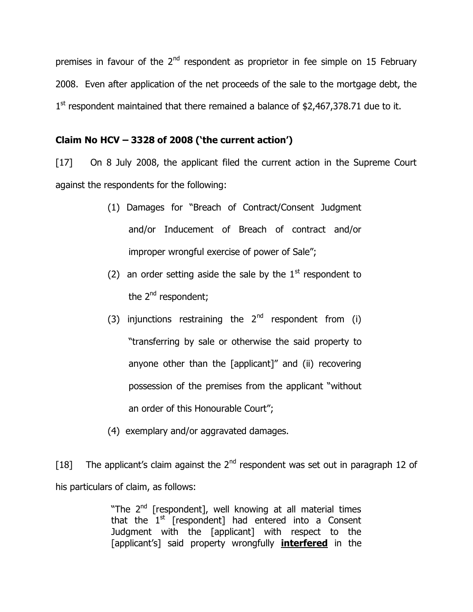premises in favour of the  $2<sup>nd</sup>$  respondent as proprietor in fee simple on 15 February 2008. Even after application of the net proceeds of the sale to the mortgage debt, the  $1<sup>st</sup>$  respondent maintained that there remained a balance of \$2,467,378.71 due to it.

### **Claim No HCV – 3328 of 2008 ('the current action')**

[17] On 8 July 2008, the applicant filed the current action in the Supreme Court against the respondents for the following:

- (1) Damages for "Breach of Contract/Consent Judgment and/or Inducement of Breach of contract and/or improper wrongful exercise of power of Sale";
- (2) an order setting aside the sale by the  $1<sup>st</sup>$  respondent to the 2<sup>nd</sup> respondent;
- (3) injunctions restraining the  $2^{nd}$  respondent from (i) "transferring by sale or otherwise the said property to anyone other than the [applicant]" and (ii) recovering possession of the premises from the applicant "without an order of this Honourable Court";
- (4) exemplary and/or aggravated damages.

[18] The applicant's claim against the  $2<sup>nd</sup>$  respondent was set out in paragraph 12 of his particulars of claim, as follows:

> "The 2<sup>nd</sup> [respondent], well knowing at all material times that the  $1<sup>st</sup>$  [respondent] had entered into a Consent Judgment with the [applicant] with respect to the [applicant's] said property wrongfully **interfered** in the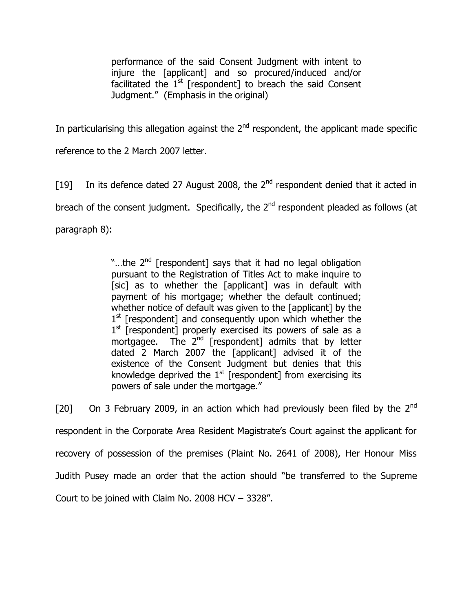performance of the said Consent Judgment with intent to injure the [applicant] and so procured/induced and/or facilitated the  $1<sup>st</sup>$  [respondent] to breach the said Consent Judgment." (Emphasis in the original)

In particularising this allegation against the  $2<sup>nd</sup>$  respondent, the applicant made specific

reference to the 2 March 2007 letter.

[19] In its defence dated 27 August 2008, the  $2<sup>nd</sup>$  respondent denied that it acted in breach of the consent judgment. Specifically, the  $2<sup>nd</sup>$  respondent pleaded as follows (at paragraph 8):

> "...the 2<sup>nd</sup> [respondent] says that it had no legal obligation pursuant to the Registration of Titles Act to make inquire to [sic] as to whether the [applicant] was in default with payment of his mortgage; whether the default continued; whether notice of default was given to the [applicant] by the 1<sup>st</sup> [respondent] and consequently upon which whether the 1<sup>st</sup> [respondent] properly exercised its powers of sale as a mortgagee. The 2<sup>nd</sup> [respondent] admits that by letter dated 2 March 2007 the [applicant] advised it of the existence of the Consent Judgment but denies that this knowledge deprived the  $1<sup>st</sup>$  [respondent] from exercising its powers of sale under the mortgage."

[20] On 3 February 2009, in an action which had previously been filed by the  $2^{nd}$ respondent in the Corporate Area Resident Magistrate's Court against the applicant for recovery of possession of the premises (Plaint No. 2641 of 2008), Her Honour Miss Judith Pusey made an order that the action should "be transferred to the Supreme Court to be joined with Claim No. 2008 HCV – 3328".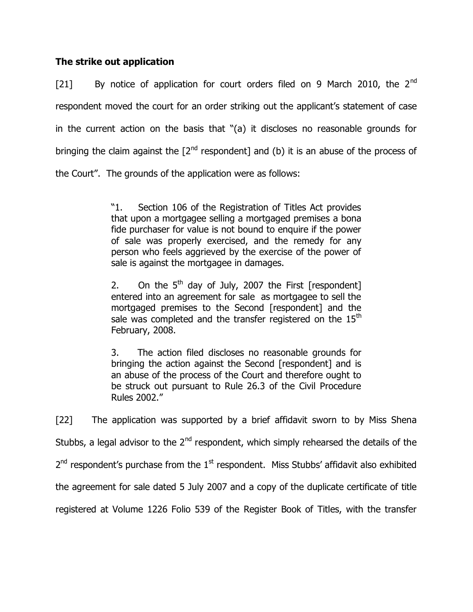## **The strike out application**

[21] By notice of application for court orders filed on 9 March 2010, the 2<sup>nd</sup> respondent moved the court for an order striking out the applicant's statement of case in the current action on the basis that "(a) it discloses no reasonable grounds for bringing the claim against the  $[2^{nd}$  respondent] and (b) it is an abuse of the process of the Court". The grounds of the application were as follows:

> "1. Section 106 of the Registration of Titles Act provides that upon a mortgagee selling a mortgaged premises a bona fide purchaser for value is not bound to enquire if the power of sale was properly exercised, and the remedy for any person who feels aggrieved by the exercise of the power of sale is against the mortgagee in damages.

> 2. On the  $5<sup>th</sup>$  day of July, 2007 the First [respondent] entered into an agreement for sale as mortgagee to sell the mortgaged premises to the Second [respondent] and the sale was completed and the transfer registered on the  $15<sup>th</sup>$ February, 2008.

> 3. The action filed discloses no reasonable grounds for bringing the action against the Second [respondent] and is an abuse of the process of the Court and therefore ought to be struck out pursuant to Rule 26.3 of the Civil Procedure Rules 2002."

[22] The application was supported by a brief affidavit sworn to by Miss Shena Stubbs, a legal advisor to the  $2<sup>nd</sup>$  respondent, which simply rehearsed the details of the  $2^{nd}$  respondent's purchase from the  $1^{st}$  respondent. Miss Stubbs' affidavit also exhibited the agreement for sale dated 5 July 2007 and a copy of the duplicate certificate of title registered at Volume 1226 Folio 539 of the Register Book of Titles, with the transfer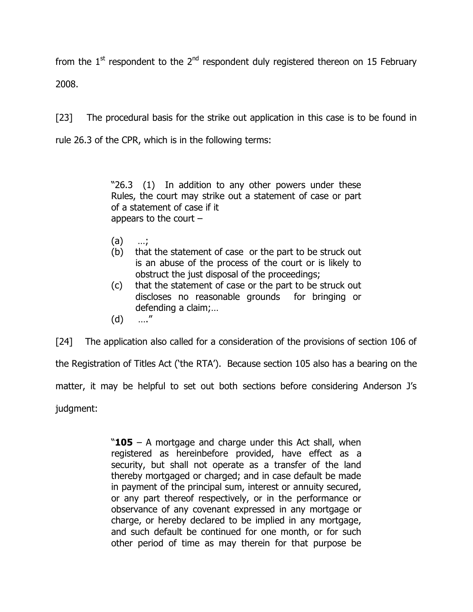from the  $1<sup>st</sup>$  respondent to the  $2<sup>nd</sup>$  respondent duly registered thereon on 15 February 2008.

[23] The procedural basis for the strike out application in this case is to be found in rule 26.3 of the CPR, which is in the following terms:

> "26.3 (1) In addition to any other powers under these Rules, the court may strike out a statement of case or part of a statement of case if it appears to the court  $-$

- (a) …;
- (b) that the statement of case or the part to be struck out is an abuse of the process of the court or is likely to obstruct the just disposal of the proceedings;
- (c) that the statement of case or the part to be struck out discloses no reasonable grounds for bringing or defending a claim;…
- (d) …."

[24] The application also called for a consideration of the provisions of section 106 of the Registration of Titles Act ('the RTA'). Because section 105 also has a bearing on the matter, it may be helpful to set out both sections before considering Anderson J's judgment:

> "**105** – A mortgage and charge under this Act shall, when registered as hereinbefore provided, have effect as a security, but shall not operate as a transfer of the land thereby mortgaged or charged; and in case default be made in payment of the principal sum, interest or annuity secured, or any part thereof respectively, or in the performance or observance of any covenant expressed in any mortgage or charge, or hereby declared to be implied in any mortgage, and such default be continued for one month, or for such other period of time as may therein for that purpose be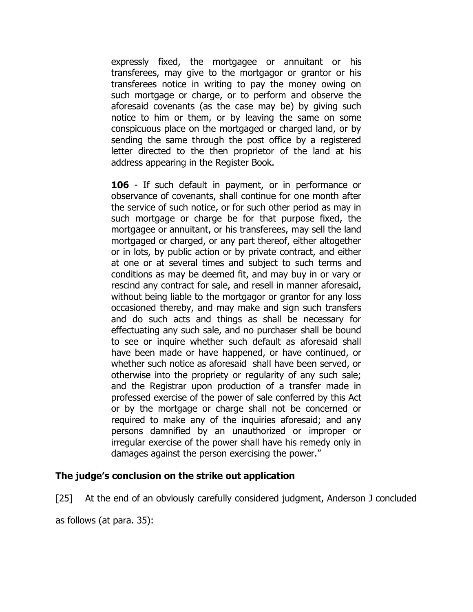expressly fixed, the mortgagee or annuitant or his transferees, may give to the mortgagor or grantor or his transferees notice in writing to pay the money owing on such mortgage or charge, or to perform and observe the aforesaid covenants (as the case may be) by giving such notice to him or them, or by leaving the same on some conspicuous place on the mortgaged or charged land, or by sending the same through the post office by a registered letter directed to the then proprietor of the land at his address appearing in the Register Book.

**106** - If such default in payment, or in performance or observance of covenants, shall continue for one month after the service of such notice, or for such other period as may in such mortgage or charge be for that purpose fixed, the mortgagee or annuitant, or his transferees, may sell the land mortgaged or charged, or any part thereof, either altogether or in lots, by public action or by private contract, and either at one or at several times and subject to such terms and conditions as may be deemed fit, and may buy in or vary or rescind any contract for sale, and resell in manner aforesaid, without being liable to the mortgagor or grantor for any loss occasioned thereby, and may make and sign such transfers and do such acts and things as shall be necessary for effectuating any such sale, and no purchaser shall be bound to see or inquire whether such default as aforesaid shall have been made or have happened, or have continued, or whether such notice as aforesaid shall have been served, or otherwise into the propriety or regularity of any such sale; and the Registrar upon production of a transfer made in professed exercise of the power of sale conferred by this Act or by the mortgage or charge shall not be concerned or required to make any of the inquiries aforesaid; and any persons damnified by an unauthorized or improper or irregular exercise of the power shall have his remedy only in damages against the person exercising the power."

## **The judge's conclusion on the strike out application**

[25] At the end of an obviously carefully considered judgment, Anderson J concluded

as follows (at para. 35):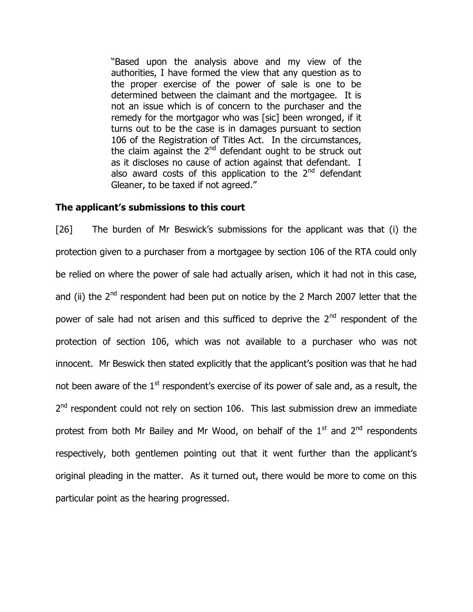"Based upon the analysis above and my view of the authorities, I have formed the view that any question as to the proper exercise of the power of sale is one to be determined between the claimant and the mortgagee. It is not an issue which is of concern to the purchaser and the remedy for the mortgagor who was [sic] been wronged, if it turns out to be the case is in damages pursuant to section 106 of the Registration of Titles Act. In the circumstances, the claim against the  $2<sup>nd</sup>$  defendant ought to be struck out as it discloses no cause of action against that defendant. I also award costs of this application to the  $2<sup>nd</sup>$  defendant Gleaner, to be taxed if not agreed."

#### **The applicant's submissions to this court**

[26] The burden of Mr Beswick's submissions for the applicant was that (i) the protection given to a purchaser from a mortgagee by section 106 of the RTA could only be relied on where the power of sale had actually arisen, which it had not in this case, and (ii) the  $2<sup>nd</sup>$  respondent had been put on notice by the 2 March 2007 letter that the power of sale had not arisen and this sufficed to deprive the  $2<sup>nd</sup>$  respondent of the protection of section 106, which was not available to a purchaser who was not innocent. Mr Beswick then stated explicitly that the applicant's position was that he had not been aware of the 1<sup>st</sup> respondent's exercise of its power of sale and, as a result, the 2<sup>nd</sup> respondent could not rely on section 106. This last submission drew an immediate protest from both Mr Bailey and Mr Wood, on behalf of the  $1<sup>st</sup>$  and  $2<sup>nd</sup>$  respondents respectively, both gentlemen pointing out that it went further than the applicant's original pleading in the matter. As it turned out, there would be more to come on this particular point as the hearing progressed.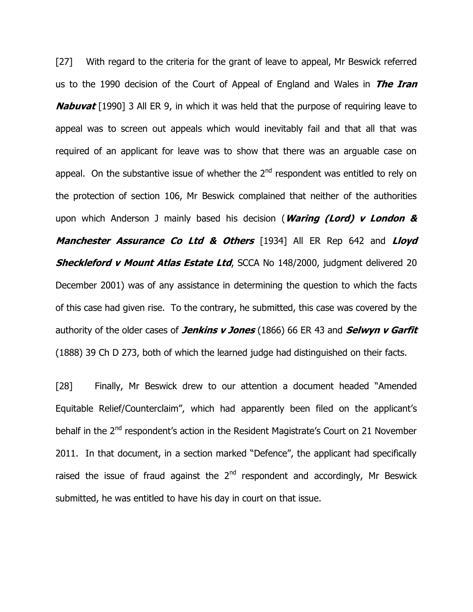[27] With regard to the criteria for the grant of leave to appeal, Mr Beswick referred us to the 1990 decision of the Court of Appeal of England and Wales in **The Iran Nabuvat** [1990] 3 All ER 9, in which it was held that the purpose of requiring leave to appeal was to screen out appeals which would inevitably fail and that all that was required of an applicant for leave was to show that there was an arguable case on appeal. On the substantive issue of whether the  $2<sup>nd</sup>$  respondent was entitled to rely on the protection of section 106, Mr Beswick complained that neither of the authorities upon which Anderson J mainly based his decision (**Waring (Lord) v London & Manchester Assurance Co Ltd & Others** [1934] All ER Rep 642 and **Lloyd Sheckleford v Mount Atlas Estate Ltd**, SCCA No 148/2000, judgment delivered 20 December 2001) was of any assistance in determining the question to which the facts of this case had given rise. To the contrary, he submitted, this case was covered by the authority of the older cases of **Jenkins v Jones** (1866) 66 ER 43 and **Selwyn v Garfit** (1888) 39 Ch D 273, both of which the learned judge had distinguished on their facts.

[28] Finally, Mr Beswick drew to our attention a document headed "Amended Equitable Relief/Counterclaim", which had apparently been filed on the applicant's behalf in the 2<sup>nd</sup> respondent's action in the Resident Magistrate's Court on 21 November 2011. In that document, in a section marked "Defence", the applicant had specifically raised the issue of fraud against the  $2<sup>nd</sup>$  respondent and accordingly, Mr Beswick submitted, he was entitled to have his day in court on that issue.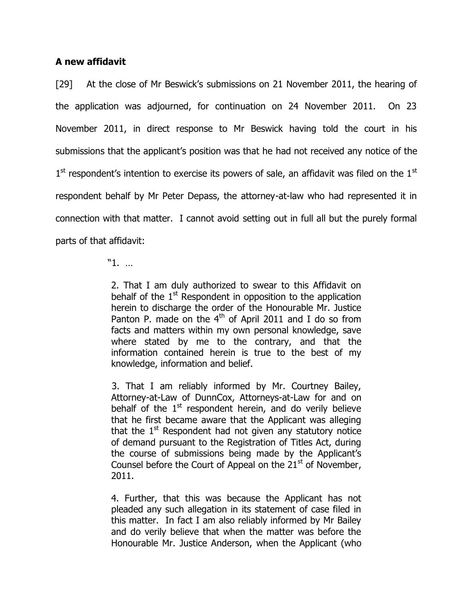### **A new affidavit**

[29] At the close of Mr Beswick's submissions on 21 November 2011, the hearing of the application was adjourned, for continuation on 24 November 2011. On 23 November 2011, in direct response to Mr Beswick having told the court in his submissions that the applicant's position was that he had not received any notice of the  $1<sup>st</sup>$  respondent's intention to exercise its powers of sale, an affidavit was filed on the  $1<sup>st</sup>$ respondent behalf by Mr Peter Depass, the attorney-at-law who had represented it in connection with that matter. I cannot avoid setting out in full all but the purely formal parts of that affidavit:

"1. …

2. That I am duly authorized to swear to this Affidavit on behalf of the  $1<sup>st</sup>$  Respondent in opposition to the application herein to discharge the order of the Honourable Mr. Justice Panton P. made on the  $4<sup>th</sup>$  of April 2011 and I do so from facts and matters within my own personal knowledge, save where stated by me to the contrary, and that the information contained herein is true to the best of my knowledge, information and belief.

3. That I am reliably informed by Mr. Courtney Bailey, Attorney-at-Law of DunnCox, Attorneys-at-Law for and on behalf of the  $1<sup>st</sup>$  respondent herein, and do verily believe that he first became aware that the Applicant was alleging that the  $1<sup>st</sup>$  Respondent had not given any statutory notice of demand pursuant to the Registration of Titles Act, during the course of submissions being made by the Applicant's Counsel before the Court of Appeal on the  $21<sup>st</sup>$  of November, 2011.

4. Further, that this was because the Applicant has not pleaded any such allegation in its statement of case filed in this matter. In fact I am also reliably informed by Mr Bailey and do verily believe that when the matter was before the Honourable Mr. Justice Anderson, when the Applicant (who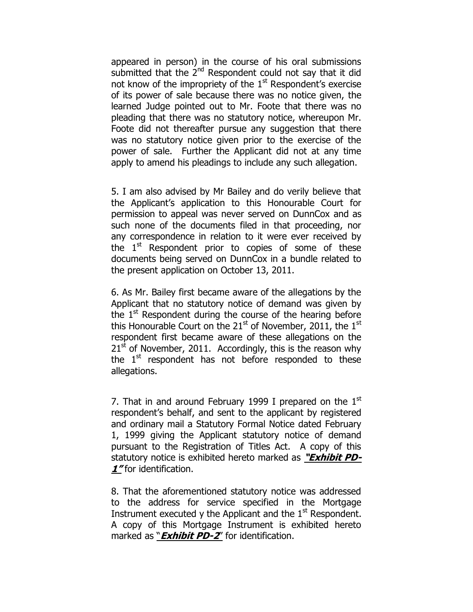appeared in person) in the course of his oral submissions submitted that the 2<sup>nd</sup> Respondent could not say that it did not know of the impropriety of the  $1<sup>st</sup>$  Respondent's exercise of its power of sale because there was no notice given, the learned Judge pointed out to Mr. Foote that there was no pleading that there was no statutory notice, whereupon Mr. Foote did not thereafter pursue any suggestion that there was no statutory notice given prior to the exercise of the power of sale. Further the Applicant did not at any time apply to amend his pleadings to include any such allegation.

5. I am also advised by Mr Bailey and do verily believe that the Applicant's application to this Honourable Court for permission to appeal was never served on DunnCox and as such none of the documents filed in that proceeding, nor any correspondence in relation to it were ever received by the  $1^{st}$  Respondent prior to copies of some of these documents being served on DunnCox in a bundle related to the present application on October 13, 2011.

6. As Mr. Bailey first became aware of the allegations by the Applicant that no statutory notice of demand was given by the  $1<sup>st</sup>$  Respondent during the course of the hearing before this Honourable Court on the  $21^{st}$  of November, 2011, the  $1^{st}$ respondent first became aware of these allegations on the  $21<sup>st</sup>$  of November, 2011. Accordingly, this is the reason why the  $1<sup>st</sup>$  respondent has not before responded to these allegations.

7. That in and around February 1999 I prepared on the  $1<sup>st</sup>$ respondent's behalf, and sent to the applicant by registered and ordinary mail a Statutory Formal Notice dated February 1, 1999 giving the Applicant statutory notice of demand pursuant to the Registration of Titles Act. A copy of this statutory notice is exhibited hereto marked as **"Exhibit PD-1**" for identification.

8. That the aforementioned statutory notice was addressed to the address for service specified in the Mortgage Instrument executed y the Applicant and the  $1<sup>st</sup>$  Respondent. A copy of this Mortgage Instrument is exhibited hereto marked as "**Exhibit PD-2**" for identification.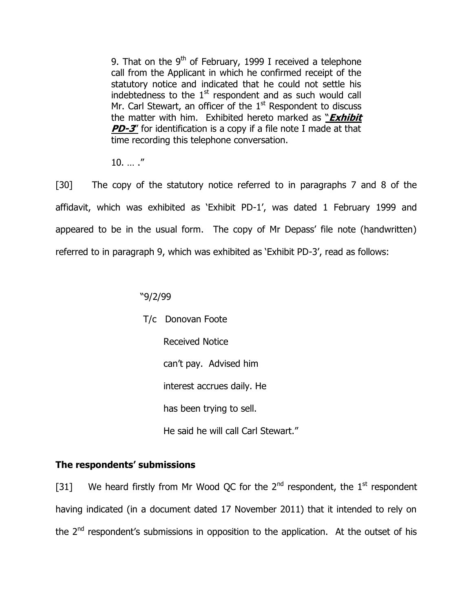9. That on the  $9<sup>th</sup>$  of February, 1999 I received a telephone call from the Applicant in which he confirmed receipt of the statutory notice and indicated that he could not settle his indebtedness to the  $1<sup>st</sup>$  respondent and as such would call Mr. Carl Stewart, an officer of the  $1<sup>st</sup>$  Respondent to discuss the matter with him. Exhibited hereto marked as "**Exhibit PD-3'** for identification is a copy if a file note I made at that time recording this telephone conversation.

 $10.$  … ."

[30] The copy of the statutory notice referred to in paragraphs 7 and 8 of the affidavit, which was exhibited as 'Exhibit PD-1', was dated 1 February 1999 and appeared to be in the usual form. The copy of Mr Depass' file note (handwritten) referred to in paragraph 9, which was exhibited as 'Exhibit PD-3', read as follows:

## "9/2/99

 T/c Donovan Foote Received Notice can't pay. Advised him interest accrues daily. He has been trying to sell. He said he will call Carl Stewart."

## **The respondents' submissions**

[31] We heard firstly from Mr Wood QC for the  $2^{nd}$  respondent, the  $1^{st}$  respondent having indicated (in a document dated 17 November 2011) that it intended to rely on the 2<sup>nd</sup> respondent's submissions in opposition to the application. At the outset of his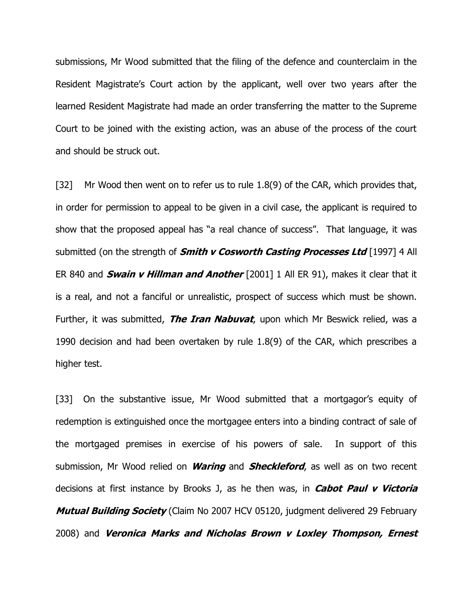submissions, Mr Wood submitted that the filing of the defence and counterclaim in the Resident Magistrate's Court action by the applicant, well over two years after the learned Resident Magistrate had made an order transferring the matter to the Supreme Court to be joined with the existing action, was an abuse of the process of the court and should be struck out.

[32] Mr Wood then went on to refer us to rule 1.8(9) of the CAR, which provides that, in order for permission to appeal to be given in a civil case, the applicant is required to show that the proposed appeal has "a real chance of success". That language, it was submitted (on the strength of **Smith v Cosworth Casting Processes Ltd** [1997] 4 All ER 840 and **Swain v Hillman and Another** [2001] 1 All ER 91), makes it clear that it is a real, and not a fanciful or unrealistic, prospect of success which must be shown. Further, it was submitted, **The Iran Nabuvat**, upon which Mr Beswick relied, was a 1990 decision and had been overtaken by rule 1.8(9) of the CAR, which prescribes a higher test.

[33] On the substantive issue, Mr Wood submitted that a mortgagor's equity of redemption is extinguished once the mortgagee enters into a binding contract of sale of the mortgaged premises in exercise of his powers of sale. In support of this submission, Mr Wood relied on **Waring** and **Sheckleford**, as well as on two recent decisions at first instance by Brooks J, as he then was, in **Cabot Paul v Victoria Mutual Building Society** (Claim No 2007 HCV 05120, judgment delivered 29 February 2008) and **Veronica Marks and Nicholas Brown v Loxley Thompson, Ernest**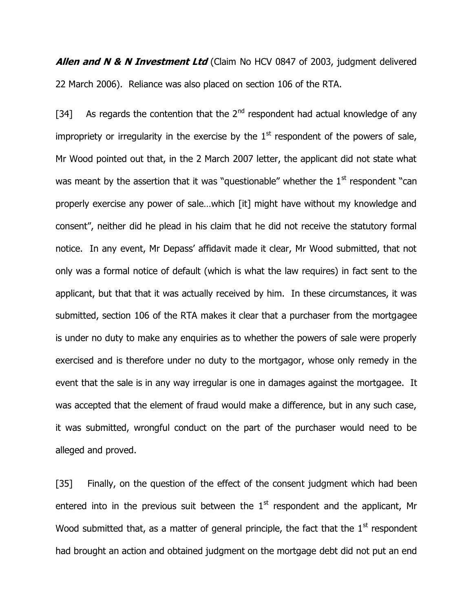**Allen and N & N Investment Ltd** (Claim No HCV 0847 of 2003, judgment delivered 22 March 2006). Reliance was also placed on section 106 of the RTA.

[34] As regards the contention that the  $2<sup>nd</sup>$  respondent had actual knowledge of any impropriety or irregularity in the exercise by the  $1<sup>st</sup>$  respondent of the powers of sale, Mr Wood pointed out that, in the 2 March 2007 letter, the applicant did not state what was meant by the assertion that it was "questionable" whether the  $1<sup>st</sup>$  respondent "can properly exercise any power of sale…which [it] might have without my knowledge and consent", neither did he plead in his claim that he did not receive the statutory formal notice. In any event, Mr Depass' affidavit made it clear, Mr Wood submitted, that not only was a formal notice of default (which is what the law requires) in fact sent to the applicant, but that that it was actually received by him. In these circumstances, it was submitted, section 106 of the RTA makes it clear that a purchaser from the mortgagee is under no duty to make any enquiries as to whether the powers of sale were properly exercised and is therefore under no duty to the mortgagor, whose only remedy in the event that the sale is in any way irregular is one in damages against the mortgagee. It was accepted that the element of fraud would make a difference, but in any such case, it was submitted, wrongful conduct on the part of the purchaser would need to be alleged and proved.

[35] Finally, on the question of the effect of the consent judgment which had been entered into in the previous suit between the  $1<sup>st</sup>$  respondent and the applicant, Mr Wood submitted that, as a matter of general principle, the fact that the  $1<sup>st</sup>$  respondent had brought an action and obtained judgment on the mortgage debt did not put an end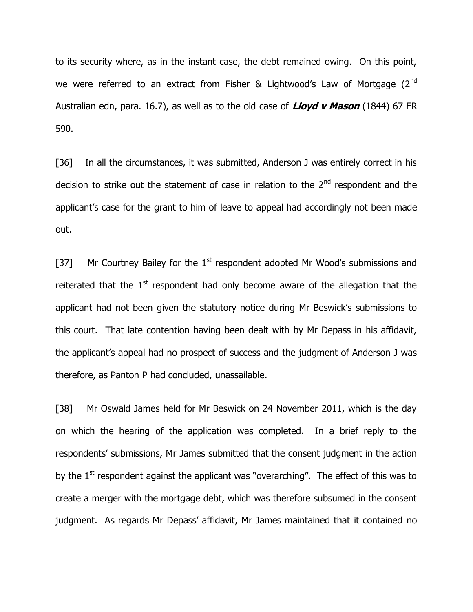to its security where, as in the instant case, the debt remained owing. On this point, we were referred to an extract from Fisher & Lightwood's Law of Mortgage (2<sup>nd</sup> Australian edn, para. 16.7), as well as to the old case of **Lloyd v Mason** (1844) 67 ER 590.

[36] In all the circumstances, it was submitted, Anderson J was entirely correct in his decision to strike out the statement of case in relation to the  $2<sup>nd</sup>$  respondent and the applicant's case for the grant to him of leave to appeal had accordingly not been made out.

[37] Mr Courtney Bailey for the  $1<sup>st</sup>$  respondent adopted Mr Wood's submissions and reiterated that the  $1<sup>st</sup>$  respondent had only become aware of the allegation that the applicant had not been given the statutory notice during Mr Beswick's submissions to this court. That late contention having been dealt with by Mr Depass in his affidavit, the applicant's appeal had no prospect of success and the judgment of Anderson J was therefore, as Panton P had concluded, unassailable.

[38] Mr Oswald James held for Mr Beswick on 24 November 2011, which is the day on which the hearing of the application was completed. In a brief reply to the respondents' submissions, Mr James submitted that the consent judgment in the action by the  $1<sup>st</sup>$  respondent against the applicant was "overarching". The effect of this was to create a merger with the mortgage debt, which was therefore subsumed in the consent judgment. As regards Mr Depass' affidavit, Mr James maintained that it contained no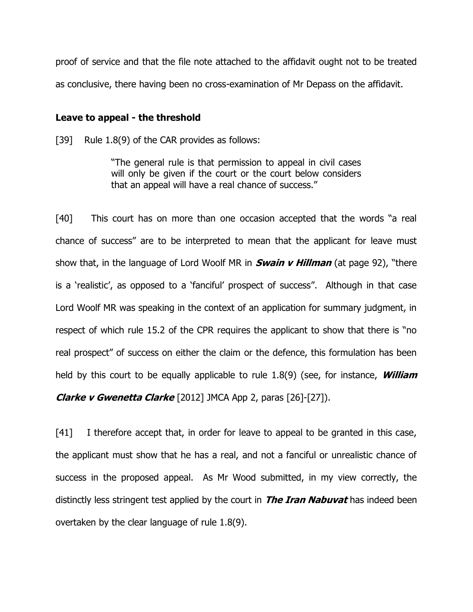proof of service and that the file note attached to the affidavit ought not to be treated as conclusive, there having been no cross-examination of Mr Depass on the affidavit.

#### **Leave to appeal - the threshold**

[39] Rule 1.8(9) of the CAR provides as follows:

"The general rule is that permission to appeal in civil cases will only be given if the court or the court below considers that an appeal will have a real chance of success."

[40] This court has on more than one occasion accepted that the words "a real chance of success" are to be interpreted to mean that the applicant for leave must show that, in the language of Lord Woolf MR in **Swain v Hillman** (at page 92), "there is a 'realistic', as opposed to a 'fanciful' prospect of success". Although in that case Lord Woolf MR was speaking in the context of an application for summary judgment, in respect of which rule 15.2 of the CPR requires the applicant to show that there is "no real prospect" of success on either the claim or the defence, this formulation has been held by this court to be equally applicable to rule 1.8(9) (see, for instance, **William Clarke v Gwenetta Clarke** [2012] JMCA App 2, paras [26]-[27]).

[41] I therefore accept that, in order for leave to appeal to be granted in this case, the applicant must show that he has a real, and not a fanciful or unrealistic chance of success in the proposed appeal. As Mr Wood submitted, in my view correctly, the distinctly less stringent test applied by the court in **The Iran Nabuvat** has indeed been overtaken by the clear language of rule 1.8(9).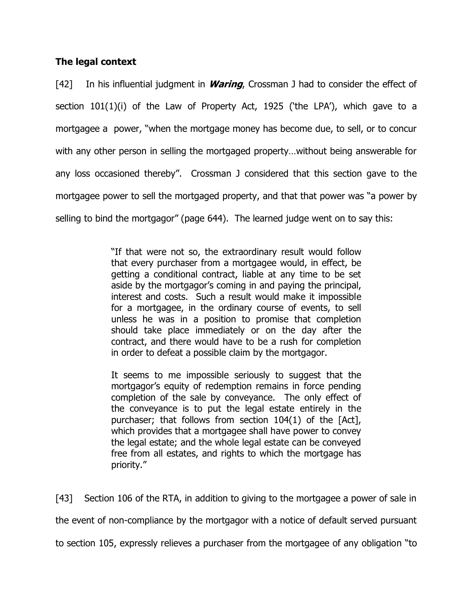## **The legal context**

[42] In his influential judgment in **Waring**, Crossman J had to consider the effect of section 101(1)(i) of the Law of Property Act, 1925 ('the LPA'), which gave to a mortgagee a power, "when the mortgage money has become due, to sell, or to concur with any other person in selling the mortgaged property…without being answerable for any loss occasioned thereby". Crossman J considered that this section gave to the mortgagee power to sell the mortgaged property, and that that power was "a power by selling to bind the mortgagor" (page 644). The learned judge went on to say this:

> "If that were not so, the extraordinary result would follow that every purchaser from a mortgagee would, in effect, be getting a conditional contract, liable at any time to be set aside by the mortgagor's coming in and paying the principal, interest and costs. Such a result would make it impossible for a mortgagee, in the ordinary course of events, to sell unless he was in a position to promise that completion should take place immediately or on the day after the contract, and there would have to be a rush for completion in order to defeat a possible claim by the mortgagor.

> It seems to me impossible seriously to suggest that the mortgagor's equity of redemption remains in force pending completion of the sale by conveyance. The only effect of the conveyance is to put the legal estate entirely in the purchaser; that follows from section 104(1) of the [Act], which provides that a mortgagee shall have power to convey the legal estate; and the whole legal estate can be conveyed free from all estates, and rights to which the mortgage has priority."

[43] Section 106 of the RTA, in addition to giving to the mortgagee a power of sale in the event of non-compliance by the mortgagor with a notice of default served pursuant to section 105, expressly relieves a purchaser from the mortgagee of any obligation "to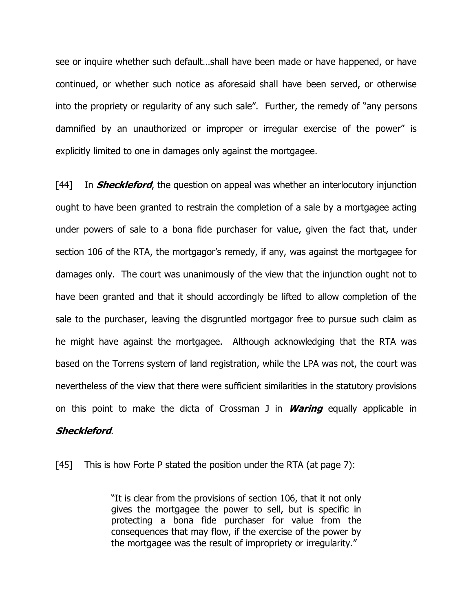see or inquire whether such default…shall have been made or have happened, or have continued, or whether such notice as aforesaid shall have been served, or otherwise into the propriety or regularity of any such sale". Further, the remedy of "any persons damnified by an unauthorized or improper or irregular exercise of the power" is explicitly limited to one in damages only against the mortgagee.

[44] In **Sheckleford**, the question on appeal was whether an interlocutory injunction ought to have been granted to restrain the completion of a sale by a mortgagee acting under powers of sale to a bona fide purchaser for value, given the fact that, under section 106 of the RTA, the mortgagor's remedy, if any, was against the mortgagee for damages only. The court was unanimously of the view that the injunction ought not to have been granted and that it should accordingly be lifted to allow completion of the sale to the purchaser, leaving the disgruntled mortgagor free to pursue such claim as he might have against the mortgagee. Although acknowledging that the RTA was based on the Torrens system of land registration, while the LPA was not, the court was nevertheless of the view that there were sufficient similarities in the statutory provisions on this point to make the dicta of Crossman J in **Waring** equally applicable in

## **Sheckleford**.

[45] This is how Forte P stated the position under the RTA (at page 7):

"It is clear from the provisions of section 106, that it not only gives the mortgagee the power to sell, but is specific in protecting a bona fide purchaser for value from the consequences that may flow, if the exercise of the power by the mortgagee was the result of impropriety or irregularity."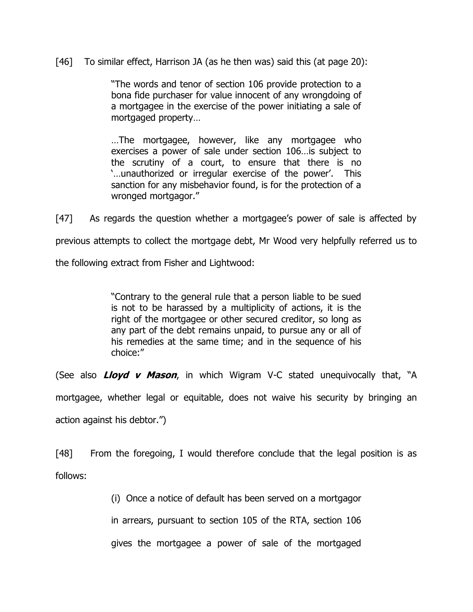[46] To similar effect, Harrison JA (as he then was) said this (at page 20):

"The words and tenor of section 106 provide protection to a bona fide purchaser for value innocent of any wrongdoing of a mortgagee in the exercise of the power initiating a sale of mortgaged property…

…The mortgagee, however, like any mortgagee who exercises a power of sale under section 106…is subject to the scrutiny of a court, to ensure that there is no '…unauthorized or irregular exercise of the power'. This sanction for any misbehavior found, is for the protection of a wronged mortgagor."

[47] As regards the question whether a mortgagee's power of sale is affected by previous attempts to collect the mortgage debt, Mr Wood very helpfully referred us to

the following extract from Fisher and Lightwood:

"Contrary to the general rule that a person liable to be sued is not to be harassed by a multiplicity of actions, it is the right of the mortgagee or other secured creditor, so long as any part of the debt remains unpaid, to pursue any or all of his remedies at the same time; and in the sequence of his choice:"

(See also **Lloyd v Mason**, in which Wigram V-C stated unequivocally that, "A

mortgagee, whether legal or equitable, does not waive his security by bringing an

action against his debtor.")

[48] From the foregoing, I would therefore conclude that the legal position is as follows:

(i) Once a notice of default has been served on a mortgagor

in arrears, pursuant to section 105 of the RTA, section 106

gives the mortgagee a power of sale of the mortgaged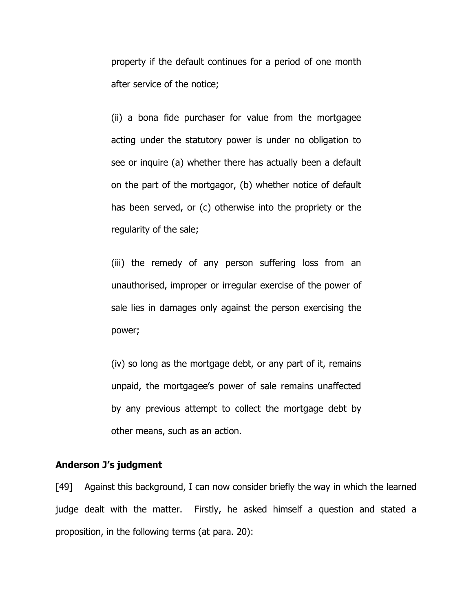property if the default continues for a period of one month after service of the notice;

(ii) a bona fide purchaser for value from the mortgagee acting under the statutory power is under no obligation to see or inquire (a) whether there has actually been a default on the part of the mortgagor, (b) whether notice of default has been served, or (c) otherwise into the propriety or the regularity of the sale;

(iii) the remedy of any person suffering loss from an unauthorised, improper or irregular exercise of the power of sale lies in damages only against the person exercising the power;

(iv) so long as the mortgage debt, or any part of it, remains unpaid, the mortgagee's power of sale remains unaffected by any previous attempt to collect the mortgage debt by other means, such as an action.

#### **Anderson J's judgment**

[49] Against this background, I can now consider briefly the way in which the learned judge dealt with the matter. Firstly, he asked himself a question and stated a proposition, in the following terms (at para. 20):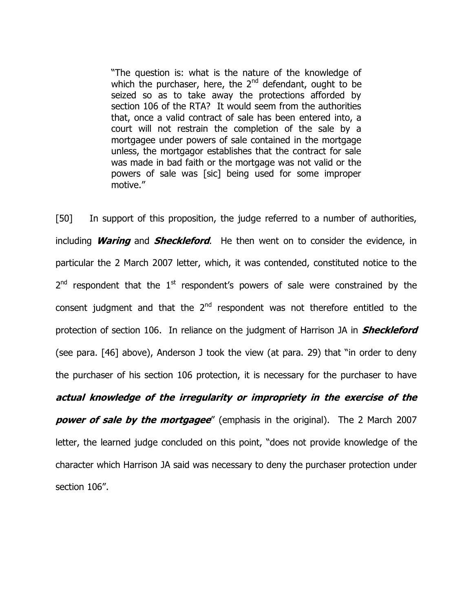"The question is: what is the nature of the knowledge of which the purchaser, here, the 2<sup>nd</sup> defendant, ought to be seized so as to take away the protections afforded by section 106 of the RTA? It would seem from the authorities that, once a valid contract of sale has been entered into, a court will not restrain the completion of the sale by a mortgagee under powers of sale contained in the mortgage unless, the mortgagor establishes that the contract for sale was made in bad faith or the mortgage was not valid or the powers of sale was [sic] being used for some improper motive."

[50] In support of this proposition, the judge referred to a number of authorities, including **Waring** and **Sheckleford**. He then went on to consider the evidence, in particular the 2 March 2007 letter, which, it was contended, constituted notice to the  $2^{nd}$  respondent that the  $1^{st}$  respondent's powers of sale were constrained by the consent judgment and that the  $2<sup>nd</sup>$  respondent was not therefore entitled to the protection of section 106. In reliance on the judgment of Harrison JA in **Sheckleford** (see para. [46] above), Anderson J took the view (at para. 29) that "in order to deny the purchaser of his section 106 protection, it is necessary for the purchaser to have **actual knowledge of the irregularity or impropriety in the exercise of the power of sale by the mortgagee**" (emphasis in the original). The 2 March 2007 letter, the learned judge concluded on this point, "does not provide knowledge of the character which Harrison JA said was necessary to deny the purchaser protection under section 106".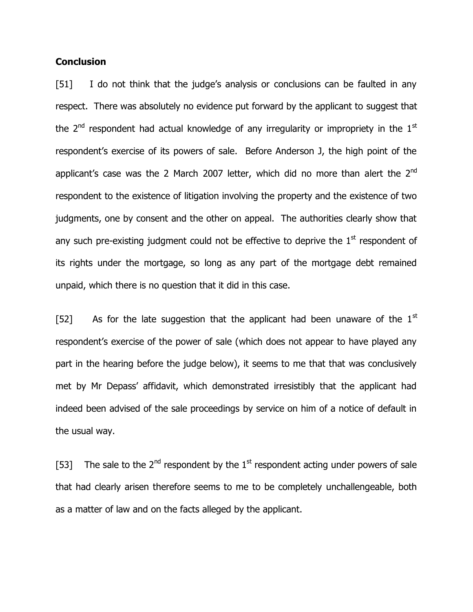## **Conclusion**

[51] I do not think that the judge's analysis or conclusions can be faulted in any respect. There was absolutely no evidence put forward by the applicant to suggest that the  $2<sup>nd</sup>$  respondent had actual knowledge of any irregularity or impropriety in the  $1<sup>st</sup>$ respondent's exercise of its powers of sale. Before Anderson J, the high point of the applicant's case was the 2 March 2007 letter, which did no more than alert the  $2^{nd}$ respondent to the existence of litigation involving the property and the existence of two judgments, one by consent and the other on appeal. The authorities clearly show that any such pre-existing judgment could not be effective to deprive the  $1<sup>st</sup>$  respondent of its rights under the mortgage, so long as any part of the mortgage debt remained unpaid, which there is no question that it did in this case.

[52] As for the late suggestion that the applicant had been unaware of the  $1<sup>st</sup>$ respondent's exercise of the power of sale (which does not appear to have played any part in the hearing before the judge below), it seems to me that that was conclusively met by Mr Depass' affidavit, which demonstrated irresistibly that the applicant had indeed been advised of the sale proceedings by service on him of a notice of default in the usual way.

[53] The sale to the  $2^{nd}$  respondent by the  $1^{st}$  respondent acting under powers of sale that had clearly arisen therefore seems to me to be completely unchallengeable, both as a matter of law and on the facts alleged by the applicant.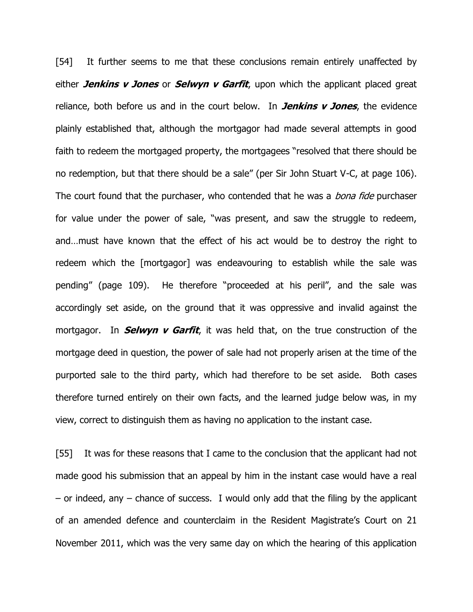[54] It further seems to me that these conclusions remain entirely unaffected by either **Jenkins v Jones** or **Selwyn v Garfit**, upon which the applicant placed great reliance, both before us and in the court below. In **Jenkins v Jones**, the evidence plainly established that, although the mortgagor had made several attempts in good faith to redeem the mortgaged property, the mortgagees "resolved that there should be no redemption, but that there should be a sale" (per Sir John Stuart V-C, at page 106). The court found that the purchaser, who contended that he was a *bona fide* purchaser for value under the power of sale, "was present, and saw the struggle to redeem, and…must have known that the effect of his act would be to destroy the right to redeem which the [mortgagor] was endeavouring to establish while the sale was pending" (page 109). He therefore "proceeded at his peril", and the sale was accordingly set aside, on the ground that it was oppressive and invalid against the mortgagor. In **Selwyn v Garfit**, it was held that, on the true construction of the mortgage deed in question, the power of sale had not properly arisen at the time of the purported sale to the third party, which had therefore to be set aside. Both cases therefore turned entirely on their own facts, and the learned judge below was, in my view, correct to distinguish them as having no application to the instant case.

[55] It was for these reasons that I came to the conclusion that the applicant had not made good his submission that an appeal by him in the instant case would have a real  $-$  or indeed, any  $-$  chance of success. I would only add that the filing by the applicant of an amended defence and counterclaim in the Resident Magistrate's Court on 21 November 2011, which was the very same day on which the hearing of this application